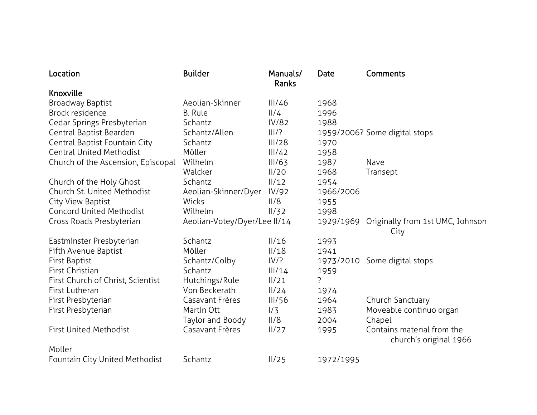| Location                           | <b>Builder</b>               | Manuals/<br>Ranks | Date      | Comments                                             |
|------------------------------------|------------------------------|-------------------|-----------|------------------------------------------------------|
| Knoxville                          |                              |                   |           |                                                      |
| Broadway Baptist                   | Aeolian-Skinner              | III/46            | 1968      |                                                      |
| Brock residence                    | <b>B.</b> Rule               | 11/4              | 1996      |                                                      |
| Cedar Springs Presbyterian         | Schantz                      | <b>IV/82</b>      | 1988      |                                                      |
| Central Baptist Bearden            | Schantz/Allen                | III/?             |           | 1959/2006? Some digital stops                        |
| Central Baptist Fountain City      | Schantz                      | III/28            | 1970      |                                                      |
| <b>Central United Methodist</b>    | Möller                       | III/42            | 1958      |                                                      |
| Church of the Ascension, Episcopal | Wilhelm                      | III/63            | 1987      | Nave                                                 |
|                                    | Walcker                      | II/20             | 1968      | Transept                                             |
| Church of the Holy Ghost           | Schantz                      | 11/12             | 1954      |                                                      |
| Church St. United Methodist        | Aeolian-Skinner/Dyer         | IV/92             | 1966/2006 |                                                      |
| City View Baptist                  | Wicks                        | II/8              | 1955      |                                                      |
| <b>Concord United Methodist</b>    | Wilhelm                      | II/32             | 1998      |                                                      |
| Cross Roads Presbyterian           | Aeolian-Votey/Dyer/Lee II/14 |                   | 1929/1969 | Originally from 1st UMC, Johnson<br>City             |
| Eastminster Presbyterian           | Schantz                      | II/16             | 1993      |                                                      |
| Fifth Avenue Baptist               | Möller                       | II/18             | 1941      |                                                      |
| First Baptist                      | Schantz/Colby                | IV/?              | 1973/2010 | Some digital stops                                   |
| First Christian                    | Schantz                      | III/14            | 1959      |                                                      |
| First Church of Christ, Scientist  | Hutchings/Rule               | II/21             | ?         |                                                      |
| First Lutheran                     | Von Beckerath                | 11/24             | 1974      |                                                      |
| First Presbyterian                 | Casavant Frères              | III/56            | 1964      | Church Sanctuary                                     |
| First Presbyterian                 | Martin Ott                   | 1/3               | 1983      | Moveable continuo organ                              |
|                                    | Taylor and Boody             | II/8              | 2004      | Chapel                                               |
| <b>First United Methodist</b>      | Casavant Frères              | II/27             | 1995      | Contains material from the<br>church's original 1966 |
| Moller                             |                              |                   |           |                                                      |
| Fountain City United Methodist     | Schantz                      | II/25             | 1972/1995 |                                                      |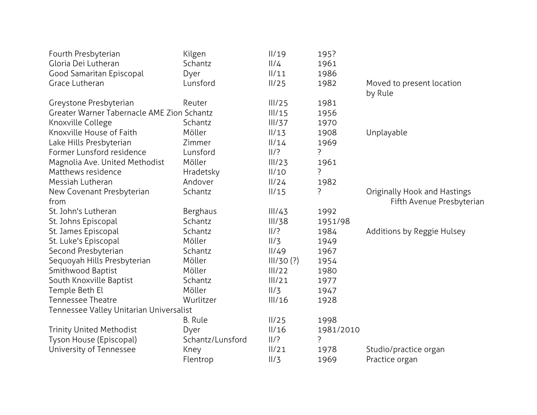| Fourth Presbyterian                        | Kilgen           | II/19          | 195?      |                              |
|--------------------------------------------|------------------|----------------|-----------|------------------------------|
| Gloria Dei Lutheran                        | Schantz          | $\frac{1}{4}$  | 1961      |                              |
| Good Samaritan Episcopal                   | Dyer             | $\frac{1}{11}$ | 1986      |                              |
| Grace Lutheran                             | Lunsford         | II/25          | 1982      | Moved to present location    |
|                                            |                  |                |           | by Rule                      |
| Greystone Presbyterian                     | Reuter           | III/25         | 1981      |                              |
| Greater Warner Tabernacle AME Zion Schantz |                  | III/15         | 1956      |                              |
| Knoxville College                          | Schantz          | III/37         | 1970      |                              |
| Knoxville House of Faith                   | Möller           | II/13          | 1908      | Unplayable                   |
| Lake Hills Presbyterian                    | Zimmer           | $\frac{1}{14}$ | 1969      |                              |
| Former Lunsford residence                  | Lunsford         | 11/2           | ?         |                              |
| Magnolia Ave. United Methodist             | Möller           | III/23         | 1961      |                              |
| Matthews residence                         | Hradetsky        | II/10          | P         |                              |
| Messiah Lutheran                           | Andover          | II/24          | 1982      |                              |
| New Covenant Presbyterian                  | Schantz          | II/15          | ?         | Originally Hook and Hastings |
| from                                       |                  |                |           | Fifth Avenue Presbyterian    |
| St. John's Lutheran                        | Berghaus         | III/43         | 1992      |                              |
| St. Johns Episcopal                        | Schantz          | III/38         | 1951/98   |                              |
| St. James Episcopal                        | Schantz          | /?             | 1984      | Additions by Reggie Hulsey   |
| St. Luke's Episcopal                       | Möller           | 11/3           | 1949      |                              |
| Second Presbyterian                        | Schantz          | II/49          | 1967      |                              |
| Sequoyah Hills Presbyterian                | Möller           | III/30(?)      | 1954      |                              |
| Smithwood Baptist                          | Möller           | III/22         | 1980      |                              |
| South Knoxville Baptist                    | Schantz          | III/21         | 1977      |                              |
| Temple Beth El                             | Möller           | 11/3           | 1947      |                              |
| <b>Tennessee Theatre</b>                   | Wurlitzer        | III/16         | 1928      |                              |
| Tennessee Valley Unitarian Universalist    |                  |                |           |                              |
|                                            | <b>B.</b> Rule   | II/25          | 1998      |                              |
| <b>Trinity United Methodist</b>            | Dyer             | II/16          | 1981/2010 |                              |
| Tyson House (Episcopal)                    | Schantz/Lunsford | 11/2           | ?         |                              |
| University of Tennessee                    | Kney             | II/21          | 1978      | Studio/practice organ        |
|                                            | Flentrop         | 11/3           | 1969      | Practice organ               |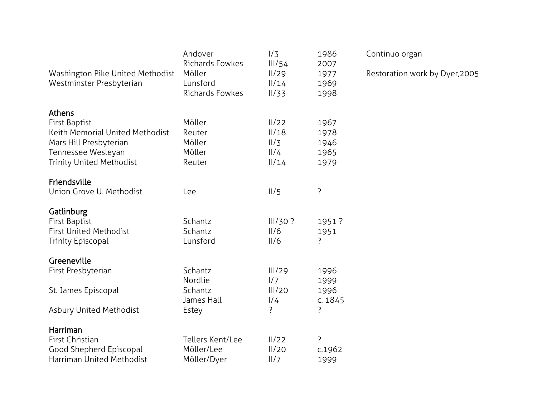| Washington Pike United Methodist<br>Westminster Presbyterian                                                                                                | Andover<br>Richards Fowkes<br>Möller<br>Lunsford<br>Richards Fowkes | 1/3<br>III/54<br>II/29<br>11/14<br>II/33         | 1986<br>2007<br>1977<br>1969<br>1998 |
|-------------------------------------------------------------------------------------------------------------------------------------------------------------|---------------------------------------------------------------------|--------------------------------------------------|--------------------------------------|
| Athens<br><b>First Baptist</b><br><b>Keith Memorial United Methodist</b><br>Mars Hill Presbyterian<br>Tennessee Wesleyan<br><b>Trinity United Methodist</b> | Möller<br>Reuter<br>Möller<br>Möller<br>Reuter                      | II/22<br>II/18<br>11/3<br>$\frac{1}{4}$<br>11/14 | 1967<br>1978<br>1946<br>1965<br>1979 |
| Friendsville<br>Union Grove U. Methodist                                                                                                                    | Lee                                                                 | II/5                                             | ?                                    |
| Gatlinburg<br><b>First Baptist</b><br><b>First United Methodist</b><br><b>Trinity Episcopal</b>                                                             | Schantz<br>Schantz<br>Lunsford                                      | III/30?<br>II/6<br>II/6                          | 1951?<br>1951<br>?                   |
| Greeneville<br>First Presbyterian                                                                                                                           | Schantz                                                             | III/29                                           | 1996                                 |
| St. James Episcopal                                                                                                                                         | Nordlie<br>Schantz<br>James Hall                                    | 1/7<br>III/20<br>1/4                             | 1999<br>1996<br>c. 1845              |
| <b>Asbury United Methodist</b>                                                                                                                              | Estey                                                               | ?                                                | ?                                    |
| Harriman<br>First Christian<br>Good Shepherd Episcopal<br><b>Harriman United Methodist</b>                                                                  | Tellers Kent/Lee<br>Möller/Lee<br>Möller/Dyer                       | II/22<br>II/20<br>II/7                           | ?<br>c.1962<br>1999                  |

Continuo organ

Restoration work by Dyer,2005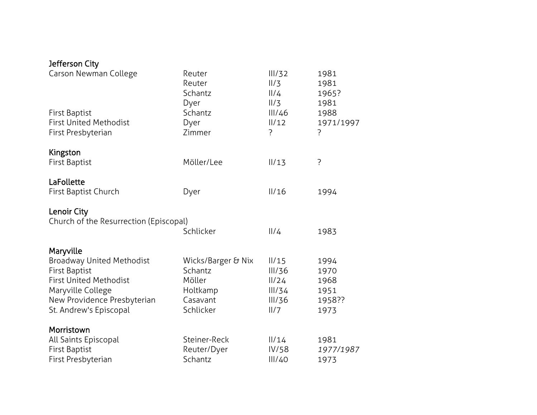## Jefferson City

| Carson Newman College                                 | Reuter<br>Reuter<br>Schantz | III/32<br>11/3<br>11/4<br>II/3 | 1981<br>1981<br>1965? |
|-------------------------------------------------------|-----------------------------|--------------------------------|-----------------------|
| <b>First Baptist</b>                                  | Dyer<br>Schantz             | III/46                         | 1981<br>1988          |
| <b>First United Methodist</b>                         | Dyer                        | $\frac{1}{12}$                 | 1971/1997             |
| First Presbyterian                                    | Zimmer                      | ?                              | ŗ                     |
| Kingston                                              |                             |                                |                       |
| First Baptist                                         | Möller/Lee                  | II/13                          | ?                     |
| LaFollette                                            |                             |                                |                       |
| First Baptist Church                                  | Dyer                        | II/16                          | 1994                  |
|                                                       |                             |                                |                       |
| Lenoir City<br>Church of the Resurrection (Episcopal) |                             |                                |                       |
|                                                       | Schlicker                   | 11/4                           | 1983                  |
|                                                       |                             |                                |                       |
| Maryville<br><b>Broadway United Methodist</b>         | Wicks/Barger & Nix          | II/15                          | 1994                  |
| <b>First Baptist</b>                                  | Schantz                     | III/36                         | 1970                  |
| <b>First United Methodist</b>                         | Möller                      | 11/24                          | 1968                  |
| Maryville College                                     | Holtkamp                    | III/34                         | 1951                  |
| New Providence Presbyterian                           | Casavant                    | III/36                         | 1958??                |
| St. Andrew's Episcopal                                | Schlicker                   | 11/7                           | 1973                  |
| Morristown                                            |                             |                                |                       |
| All Saints Episcopal                                  | Steiner-Reck                | 11/14                          | 1981                  |
| <b>First Baptist</b>                                  | Reuter/Dyer                 | IV/58                          | 1977/1987             |
| First Presbyterian                                    | Schantz                     | III/40                         | 1973                  |